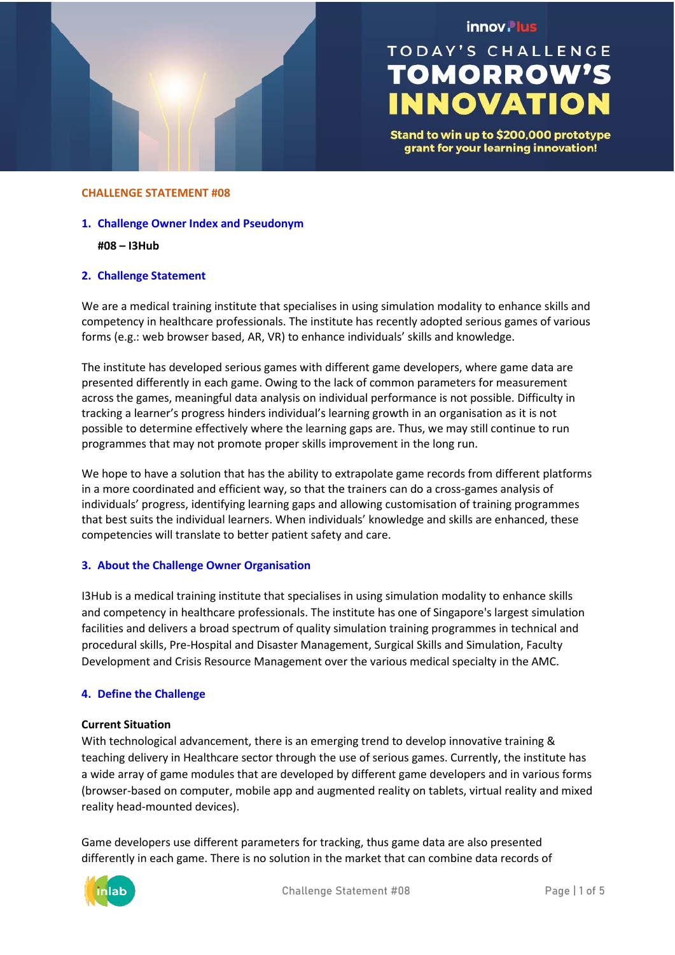

## innov. lus

# **TODAY'S CHALLENGE TOMORROW'S INNOVATION**

Stand to win up to \$200,000 prototype grant for your learning innovation!

#### **CHALLENGE STATEMENT #08**

- **1. Challenge Owner Index and Pseudonym**
	- **#08 – I3Hub**

## **2. Challenge Statement**

We are a medical training institute that specialises in using simulation modality to enhance skills and competency in healthcare professionals. The institute has recently adopted serious games of various forms (e.g.: web browser based, AR, VR) to enhance individuals' skills and knowledge.

The institute has developed serious games with different game developers, where game data are presented differently in each game. Owing to the lack of common parameters for measurement across the games, meaningful data analysis on individual performance is not possible. Difficulty in tracking a learner's progress hinders individual's learning growth in an organisation as it is not possible to determine effectively where the learning gaps are. Thus, we may still continue to run programmes that may not promote proper skills improvement in the long run.

We hope to have a solution that has the ability to extrapolate game records from different platforms in a more coordinated and efficient way, so that the trainers can do a cross-games analysis of individuals' progress, identifying learning gaps and allowing customisation of training programmes that best suits the individual learners. When individuals' knowledge and skills are enhanced, these competencies will translate to better patient safety and care.

## **3. About the Challenge Owner Organisation**

I3Hub is a medical training institute that specialises in using simulation modality to enhance skills and competency in healthcare professionals. The institute has one of Singapore's largest simulation facilities and delivers a broad spectrum of quality simulation training programmes in technical and procedural skills, Pre-Hospital and Disaster Management, Surgical Skills and Simulation, Faculty Development and Crisis Resource Management over the various medical specialty in the AMC.

## **4. Define the Challenge**

## **Current Situation**

With technological advancement, there is an emerging trend to develop innovative training & teaching delivery in Healthcare sector through the use of serious games. Currently, the institute has a wide array of game modules that are developed by different game developers and in various forms (browser-based on computer, mobile app and augmented reality on tablets, virtual reality and mixed reality head-mounted devices).

Game developers use different parameters for tracking, thus game data are also presented differently in each game. There is no solution in the market that can combine data records of

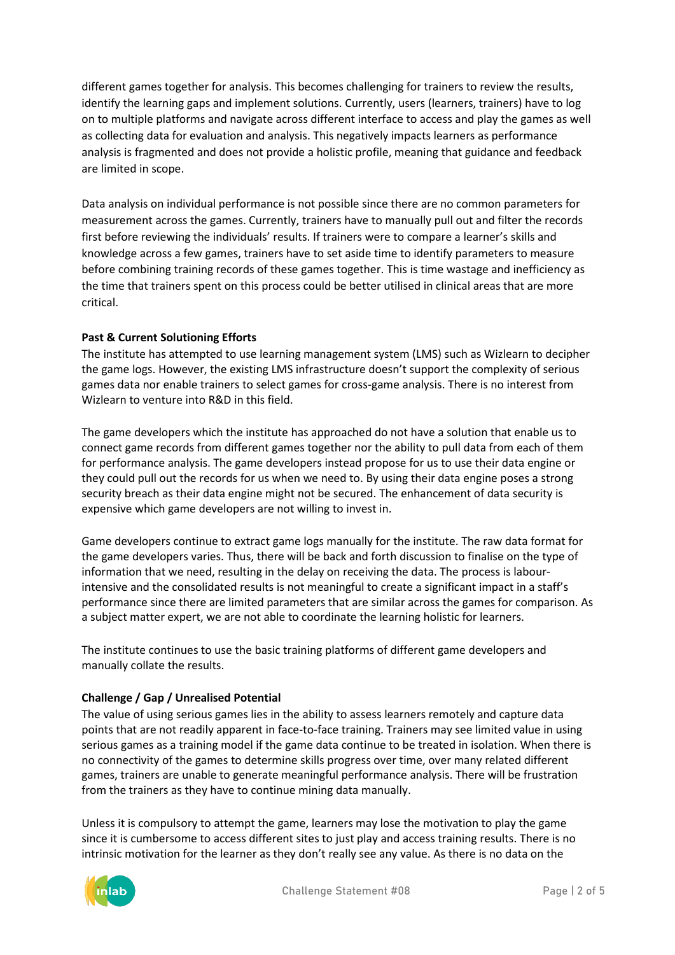different games together for analysis. This becomes challenging for trainers to review the results, identify the learning gaps and implement solutions. Currently, users (learners, trainers) have to log on to multiple platforms and navigate across different interface to access and play the games as well as collecting data for evaluation and analysis. This negatively impacts learners as performance analysis is fragmented and does not provide a holistic profile, meaning that guidance and feedback are limited in scope.

Data analysis on individual performance is not possible since there are no common parameters for measurement across the games. Currently, trainers have to manually pull out and filter the records first before reviewing the individuals' results. If trainers were to compare a learner's skills and knowledge across a few games, trainers have to set aside time to identify parameters to measure before combining training records of these games together. This is time wastage and inefficiency as the time that trainers spent on this process could be better utilised in clinical areas that are more critical.

## **Past & Current Solutioning Efforts**

The institute has attempted to use learning management system (LMS) such as Wizlearn to decipher the game logs. However, the existing LMS infrastructure doesn't support the complexity of serious games data nor enable trainers to select games for cross-game analysis. There is no interest from Wizlearn to venture into R&D in this field.

The game developers which the institute has approached do not have a solution that enable us to connect game records from different games together nor the ability to pull data from each of them for performance analysis. The game developers instead propose for us to use their data engine or they could pull out the records for us when we need to. By using their data engine poses a strong security breach as their data engine might not be secured. The enhancement of data security is expensive which game developers are not willing to invest in.

Game developers continue to extract game logs manually for the institute. The raw data format for the game developers varies. Thus, there will be back and forth discussion to finalise on the type of information that we need, resulting in the delay on receiving the data. The process is labourintensive and the consolidated results is not meaningful to create a significant impact in a staff's performance since there are limited parameters that are similar across the games for comparison. As a subject matter expert, we are not able to coordinate the learning holistic for learners.

The institute continues to use the basic training platforms of different game developers and manually collate the results.

## **Challenge / Gap / Unrealised Potential**

The value of using serious games lies in the ability to assess learners remotely and capture data points that are not readily apparent in face-to-face training. Trainers may see limited value in using serious games as a training model if the game data continue to be treated in isolation. When there is no connectivity of the games to determine skills progress over time, over many related different games, trainers are unable to generate meaningful performance analysis. There will be frustration from the trainers as they have to continue mining data manually.

Unless it is compulsory to attempt the game, learners may lose the motivation to play the game since it is cumbersome to access different sites to just play and access training results. There is no intrinsic motivation for the learner as they don't really see any value. As there is no data on the

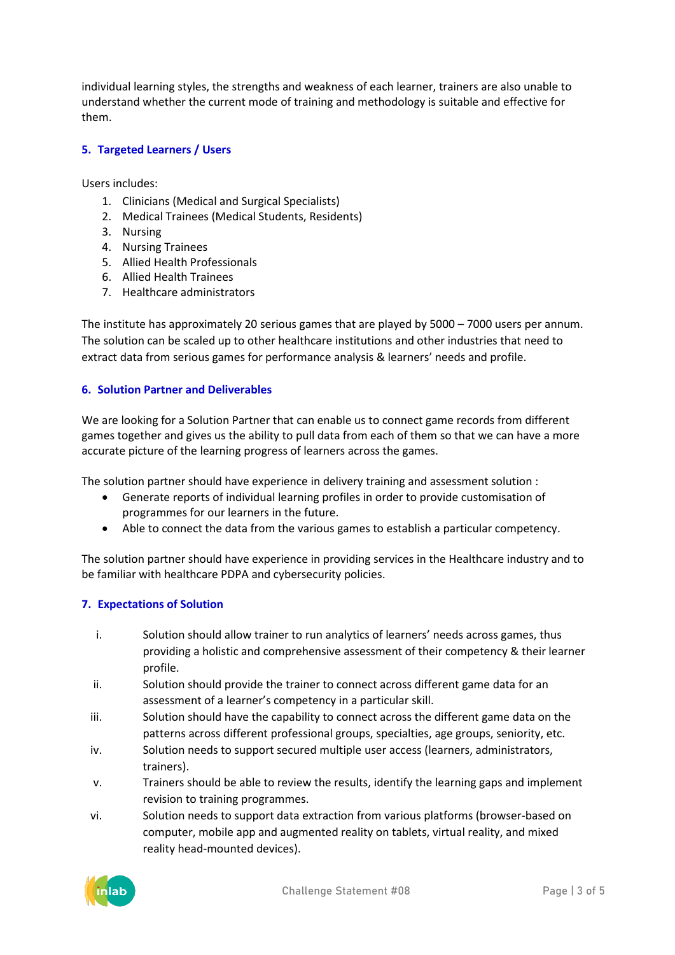individual learning styles, the strengths and weakness of each learner, trainers are also unable to understand whether the current mode of training and methodology is suitable and effective for them.

## **5. Targeted Learners / Users**

Users includes:

- 1. Clinicians (Medical and Surgical Specialists)
- 2. Medical Trainees (Medical Students, Residents)
- 3. Nursing
- 4. Nursing Trainees
- 5. Allied Health Professionals
- 6. Allied Health Trainees
- 7. Healthcare administrators

The institute has approximately 20 serious games that are played by 5000 – 7000 users per annum. The solution can be scaled up to other healthcare institutions and other industries that need to extract data from serious games for performance analysis & learners' needs and profile.

## **6. Solution Partner and Deliverables**

We are looking for a Solution Partner that can enable us to connect game records from different games together and gives us the ability to pull data from each of them so that we can have a more accurate picture of the learning progress of learners across the games.

The solution partner should have experience in delivery training and assessment solution :

- Generate reports of individual learning profiles in order to provide customisation of programmes for our learners in the future.
- Able to connect the data from the various games to establish a particular competency.

The solution partner should have experience in providing services in the Healthcare industry and to be familiar with healthcare PDPA and cybersecurity policies.

## **7. Expectations of Solution**

- i. Solution should allow trainer to run analytics of learners' needs across games, thus providing a holistic and comprehensive assessment of their competency & their learner profile.
- ii. Solution should provide the trainer to connect across different game data for an assessment of a learner's competency in a particular skill.
- iii. Solution should have the capability to connect across the different game data on the patterns across different professional groups, specialties, age groups, seniority, etc.
- iv. Solution needs to support secured multiple user access (learners, administrators, trainers).
- v. Trainers should be able to review the results, identify the learning gaps and implement revision to training programmes.
- vi. Solution needs to support data extraction from various platforms (browser-based on computer, mobile app and augmented reality on tablets, virtual reality, and mixed reality head-mounted devices).

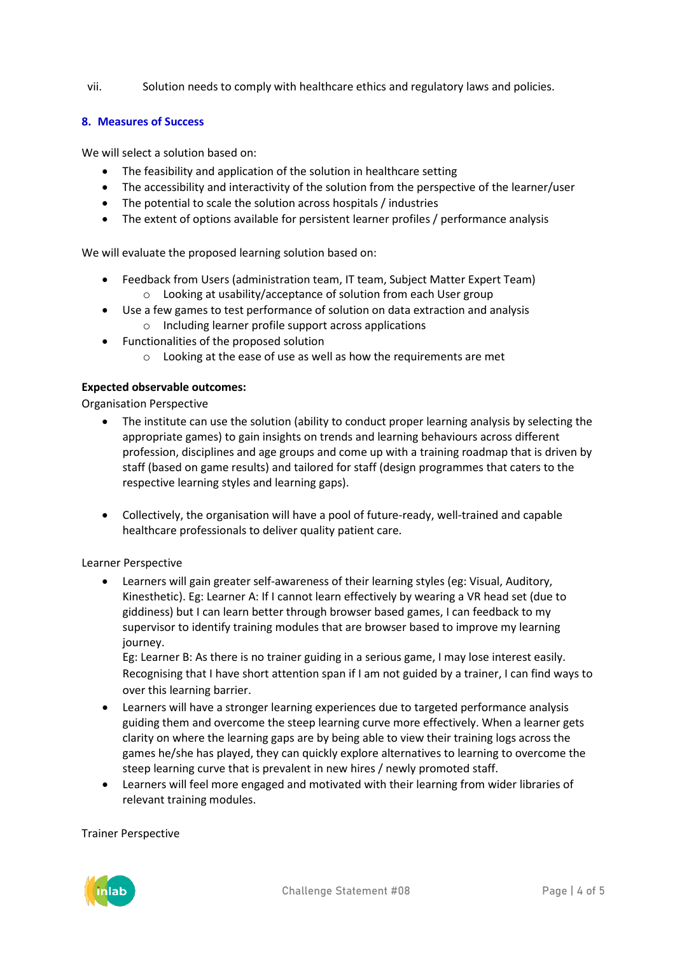vii. Solution needs to comply with healthcare ethics and regulatory laws and policies.

## **8. Measures of Success**

We will select a solution based on:

- The feasibility and application of the solution in healthcare setting
- The accessibility and interactivity of the solution from the perspective of the learner/user
- The potential to scale the solution across hospitals / industries
- The extent of options available for persistent learner profiles / performance analysis

We will evaluate the proposed learning solution based on:

- Feedback from Users (administration team, IT team, Subject Matter Expert Team) o Looking at usability/acceptance of solution from each User group
- Use a few games to test performance of solution on data extraction and analysis
	- o Including learner profile support across applications
- Functionalities of the proposed solution
	- $\circ$  Looking at the ease of use as well as how the requirements are met

## **Expected observable outcomes:**

Organisation Perspective

- The institute can use the solution (ability to conduct proper learning analysis by selecting the appropriate games) to gain insights on trends and learning behaviours across different profession, disciplines and age groups and come up with a training roadmap that is driven by staff (based on game results) and tailored for staff (design programmes that caters to the respective learning styles and learning gaps).
- Collectively, the organisation will have a pool of future-ready, well-trained and capable healthcare professionals to deliver quality patient care.

## Learner Perspective

• Learners will gain greater self-awareness of their learning styles (eg: Visual, Auditory, Kinesthetic). Eg: Learner A: If I cannot learn effectively by wearing a VR head set (due to giddiness) but I can learn better through browser based games, I can feedback to my supervisor to identify training modules that are browser based to improve my learning journey.

Eg: Learner B: As there is no trainer guiding in a serious game, I may lose interest easily. Recognising that I have short attention span if I am not guided by a trainer, I can find ways to over this learning barrier.

- Learners will have a stronger learning experiences due to targeted performance analysis guiding them and overcome the steep learning curve more effectively. When a learner gets clarity on where the learning gaps are by being able to view their training logs across the games he/she has played, they can quickly explore alternatives to learning to overcome the steep learning curve that is prevalent in new hires / newly promoted staff.
- Learners will feel more engaged and motivated with their learning from wider libraries of relevant training modules.

## Trainer Perspective